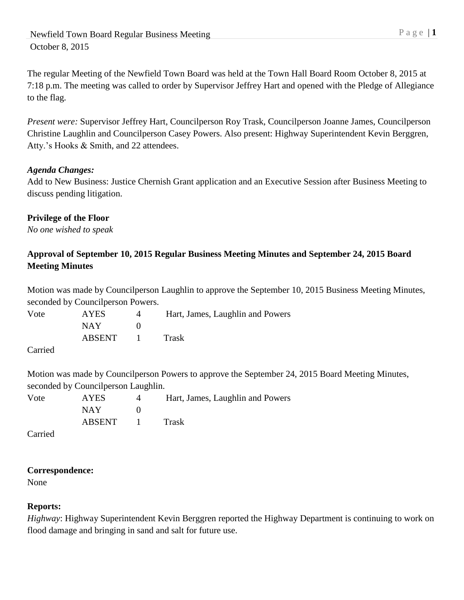The regular Meeting of the Newfield Town Board was held at the Town Hall Board Room October 8, 2015 at 7:18 p.m. The meeting was called to order by Supervisor Jeffrey Hart and opened with the Pledge of Allegiance to the flag.

*Present were:* Supervisor Jeffrey Hart, Councilperson Roy Trask, Councilperson Joanne James, Councilperson Christine Laughlin and Councilperson Casey Powers. Also present: Highway Superintendent Kevin Berggren, Atty.'s Hooks & Smith, and 22 attendees.

### *Agenda Changes:*

Add to New Business: Justice Chernish Grant application and an Executive Session after Business Meeting to discuss pending litigation.

#### **Privilege of the Floor**

*No one wished to speak*

## **Approval of September 10, 2015 Regular Business Meeting Minutes and September 24, 2015 Board Meeting Minutes**

Motion was made by Councilperson Laughlin to approve the September 10, 2015 Business Meeting Minutes, seconded by Councilperson Powers.

Vote AYES 4 Hart, James, Laughlin and Powers NAY 0 ABSENT 1 Trask

Carried

Motion was made by Councilperson Powers to approve the September 24, 2015 Board Meeting Minutes, seconded by Councilperson Laughlin.

Vote AYES 4 Hart, James, Laughlin and Powers  $NAY$  0 ABSENT 1 Trask

Carried

### **Correspondence:**

None

### **Reports:**

*Highway*: Highway Superintendent Kevin Berggren reported the Highway Department is continuing to work on flood damage and bringing in sand and salt for future use.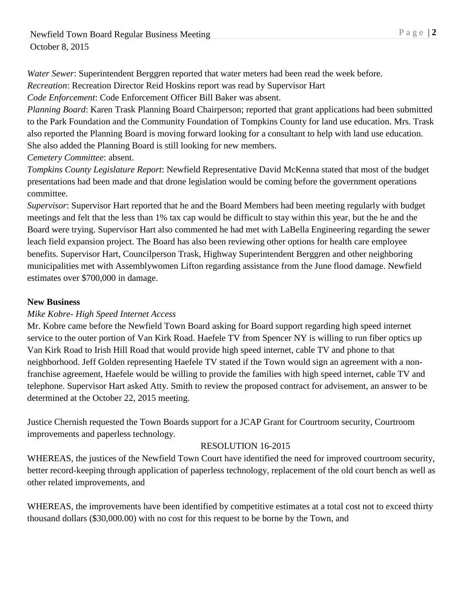*Water Sewer*: Superintendent Berggren reported that water meters had been read the week before.

*Recreation*: Recreation Director Reid Hoskins report was read by Supervisor Hart

*Code Enforcement*: Code Enforcement Officer Bill Baker was absent.

*Planning Board*: Karen Trask Planning Board Chairperson; reported that grant applications had been submitted to the Park Foundation and the Community Foundation of Tompkins County for land use education. Mrs. Trask also reported the Planning Board is moving forward looking for a consultant to help with land use education. She also added the Planning Board is still looking for new members.

*Cemetery Committee*: absent.

*Tompkins County Legislature Report*: Newfield Representative David McKenna stated that most of the budget presentations had been made and that drone legislation would be coming before the government operations committee.

*Supervisor*: Supervisor Hart reported that he and the Board Members had been meeting regularly with budget meetings and felt that the less than 1% tax cap would be difficult to stay within this year, but the he and the Board were trying. Supervisor Hart also commented he had met with LaBella Engineering regarding the sewer leach field expansion project. The Board has also been reviewing other options for health care employee benefits. Supervisor Hart, Councilperson Trask, Highway Superintendent Berggren and other neighboring municipalities met with Assemblywomen Lifton regarding assistance from the June flood damage. Newfield estimates over \$700,000 in damage.

### **New Business**

### *Mike Kobre- High Speed Internet Access*

Mr. Kobre came before the Newfield Town Board asking for Board support regarding high speed internet service to the outer portion of Van Kirk Road. Haefele TV from Spencer NY is willing to run fiber optics up Van Kirk Road to Irish Hill Road that would provide high speed internet, cable TV and phone to that neighborhood. Jeff Golden representing Haefele TV stated if the Town would sign an agreement with a nonfranchise agreement, Haefele would be willing to provide the families with high speed internet, cable TV and telephone. Supervisor Hart asked Atty. Smith to review the proposed contract for advisement, an answer to be determined at the October 22, 2015 meeting.

Justice Chernish requested the Town Boards support for a JCAP Grant for Courtroom security, Courtroom improvements and paperless technology.

### RESOLUTION 16-2015

WHEREAS, the justices of the Newfield Town Court have identified the need for improved courtroom security, better record-keeping through application of paperless technology, replacement of the old court bench as well as other related improvements, and

WHEREAS, the improvements have been identified by competitive estimates at a total cost not to exceed thirty thousand dollars (\$30,000.00) with no cost for this request to be borne by the Town, and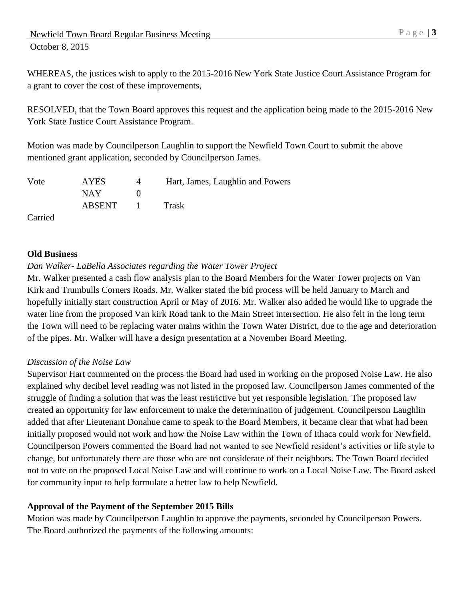# Newfield Town Board Regular Business Meeting P a g e | 3 October 8, 2015

WHEREAS, the justices wish to apply to the 2015-2016 New York State Justice Court Assistance Program for a grant to cover the cost of these improvements,

RESOLVED, that the Town Board approves this request and the application being made to the 2015-2016 New York State Justice Court Assistance Program.

Motion was made by Councilperson Laughlin to support the Newfield Town Court to submit the above mentioned grant application, seconded by Councilperson James.

| Vote                 | <b>AYES</b> | 4    | Hart, James, Laughlin and Powers |
|----------------------|-------------|------|----------------------------------|
|                      | NAY 1       |      |                                  |
|                      | ABSENT      | - 10 | Trask                            |
| $\sim$ $\sim$ $\sim$ |             |      |                                  |

Carried

#### **Old Business**

### *Dan Walker- LaBella Associates regarding the Water Tower Project*

Mr. Walker presented a cash flow analysis plan to the Board Members for the Water Tower projects on Van Kirk and Trumbulls Corners Roads. Mr. Walker stated the bid process will be held January to March and hopefully initially start construction April or May of 2016. Mr. Walker also added he would like to upgrade the water line from the proposed Van kirk Road tank to the Main Street intersection. He also felt in the long term the Town will need to be replacing water mains within the Town Water District, due to the age and deterioration of the pipes. Mr. Walker will have a design presentation at a November Board Meeting.

### *Discussion of the Noise Law*

Supervisor Hart commented on the process the Board had used in working on the proposed Noise Law. He also explained why decibel level reading was not listed in the proposed law. Councilperson James commented of the struggle of finding a solution that was the least restrictive but yet responsible legislation. The proposed law created an opportunity for law enforcement to make the determination of judgement. Councilperson Laughlin added that after Lieutenant Donahue came to speak to the Board Members, it became clear that what had been initially proposed would not work and how the Noise Law within the Town of Ithaca could work for Newfield. Councilperson Powers commented the Board had not wanted to see Newfield resident's activities or life style to change, but unfortunately there are those who are not considerate of their neighbors. The Town Board decided not to vote on the proposed Local Noise Law and will continue to work on a Local Noise Law. The Board asked for community input to help formulate a better law to help Newfield.

### **Approval of the Payment of the September 2015 Bills**

Motion was made by Councilperson Laughlin to approve the payments, seconded by Councilperson Powers. The Board authorized the payments of the following amounts: